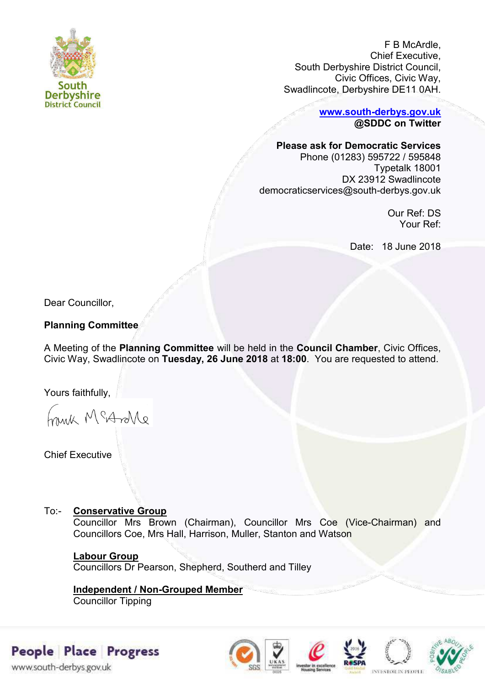

F B McArdle, Chief Executive, South Derbyshire District Council, Civic Offices, Civic Way, Swadlincote, Derbyshire DE11 0AH.

> **[www.south-derbys.gov.uk](http://www.south-derbys.gov.uk/) @SDDC on Twitter**

## **Please ask for Democratic Services**

Phone (01283) 595722 / 595848 Typetalk 18001 DX 23912 Swadlincote democraticservices@south-derbys.gov.uk

> Our Ref: DS Your Ref:

Date: 18 June 2018

Dear Councillor,

# **Planning Committee**

A Meeting of the **Planning Committee** will be held in the **Council Chamber**, Civic Offices, Civic Way, Swadlincote on **Tuesday, 26 June 2018** at **18:00**. You are requested to attend.

Yours faithfully,

Frink McAndre

Chief Executive

# To:- **Conservative Group**

Councillor Mrs Brown (Chairman), Councillor Mrs Coe (Vice-Chairman) and Councillors Coe, Mrs Hall, Harrison, Muller, Stanton and Watson

## **Labour Group**

Councillors Dr Pearson, Shepherd, Southerd and Tilley

**Independent / Non-Grouped Member**  Councillor Tipping

# People Place Progress

www.south-derbys.gov.uk